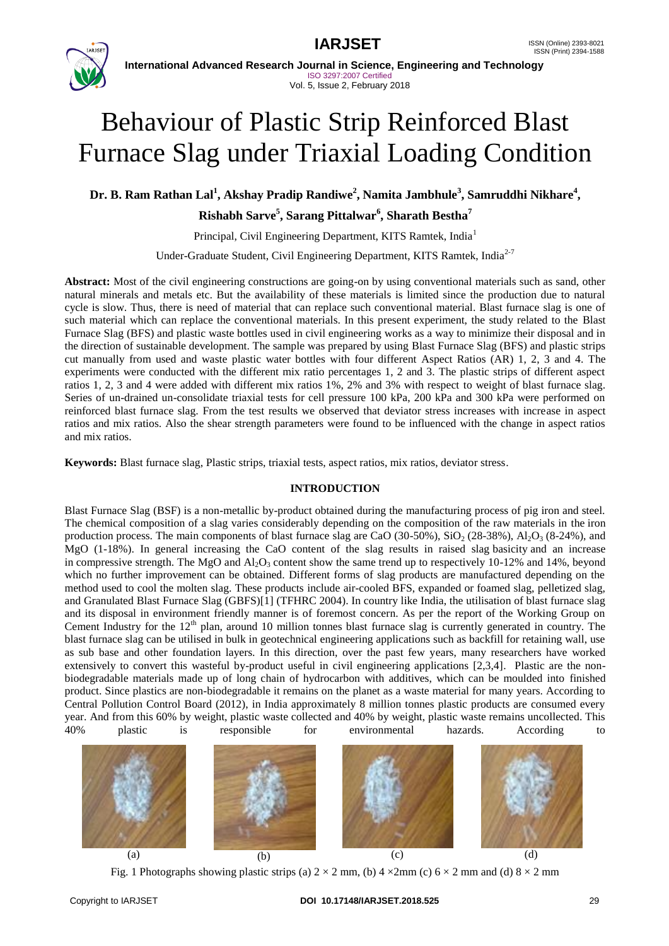



**International Advanced Research Journal in Science, Engineering and Technology** ISO 3297:2007 Certified Vol. 5, Issue 2, February 2018

# Behaviour of Plastic Strip Reinforced Blast Furnace Slag under Triaxial Loading Condition

**Dr. B. Ram Rathan Lal<sup>1</sup> , Akshay Pradip Randiwe<sup>2</sup> , Namita Jambhule<sup>3</sup> , Samruddhi Nikhare<sup>4</sup> ,** 

**Rishabh Sarve<sup>5</sup> , Sarang Pittalwar<sup>6</sup> , Sharath Bestha<sup>7</sup>**

Principal, Civil Engineering Department, KITS Ramtek, India<sup>1</sup>

Under-Graduate Student, Civil Engineering Department, KITS Ramtek, India<sup>2-7</sup>

**Abstract:** Most of the civil engineering constructions are going-on by using conventional materials such as sand, other natural minerals and metals etc. But the availability of these materials is limited since the production due to natural cycle is slow. Thus, there is need of material that can replace such conventional material. Blast furnace slag is one of such material which can replace the conventional materials. In this present experiment, the study related to the Blast Furnace Slag (BFS) and plastic waste bottles used in civil engineering works as a way to minimize their disposal and in the direction of sustainable development. The sample was prepared by using Blast Furnace Slag (BFS) and plastic strips cut manually from used and waste plastic water bottles with four different Aspect Ratios (AR) 1, 2, 3 and 4. The experiments were conducted with the different mix ratio percentages 1, 2 and 3. The plastic strips of different aspect ratios 1, 2, 3 and 4 were added with different mix ratios 1%, 2% and 3% with respect to weight of blast furnace slag. Series of un-drained un-consolidate triaxial tests for cell pressure 100 kPa, 200 kPa and 300 kPa were performed on reinforced blast furnace slag. From the test results we observed that deviator stress increases with increase in aspect ratios and mix ratios. Also the shear strength parameters were found to be influenced with the change in aspect ratios and mix ratios.

**Keywords:** Blast furnace slag, Plastic strips, triaxial tests, aspect ratios, mix ratios, deviator stress.

### **INTRODUCTION**

Blast Furnace Slag (BSF) is a non-metallic by-product obtained during the manufacturing process of pig iron and steel. The chemical composition of a slag varies considerably depending on the composition of the raw materials in the iron production process. The main components of blast furnace slag are CaO (30-50%), SiO<sub>2</sub> (28-38%), Al<sub>2</sub>O<sub>3</sub> (8-24%), and MgO (1-18%). In general increasing the CaO content of the slag results in raised slag basicity and an increase in compressive strength. The MgO and  $Al_2O_3$  content show the same trend up to respectively 10-12% and 14%, beyond which no further improvement can be obtained. Different forms of slag products are manufactured depending on the method used to cool the molten slag. These products include air-cooled BFS, expanded or foamed slag, pelletized slag, and Granulated Blast Furnace Slag (GBFS)[1] (TFHRC 2004). In country like India, the utilisation of blast furnace slag and its disposal in environment friendly manner is of foremost concern. As per the report of the Working Group on Cement Industry for the  $12<sup>th</sup>$  plan, around 10 million tonnes blast furnace slag is currently generated in country. The blast furnace slag can be utilised in bulk in geotechnical engineering applications such as backfill for retaining wall, use as sub base and other foundation layers. In this direction, over the past few years, many researchers have worked extensively to convert this wasteful by-product useful in civil engineering applications [2,3,4]. Plastic are the nonbiodegradable materials made up of long chain of hydrocarbon with additives, which can be moulded into finished product. Since plastics are non-biodegradable it remains on the planet as a waste material for many years. According to Central Pollution Control Board (2012), in India approximately 8 million tonnes plastic products are consumed every year. And from this 60% by weight, plastic waste collected and 40% by weight, plastic waste remains uncollected. This 40% plastic is responsible for environmental hazards. According to



Fig. 1 Photographs showing plastic strips (a)  $2 \times 2$  mm, (b)  $4 \times 2$ mm (c)  $6 \times 2$  mm and (d)  $8 \times 2$  mm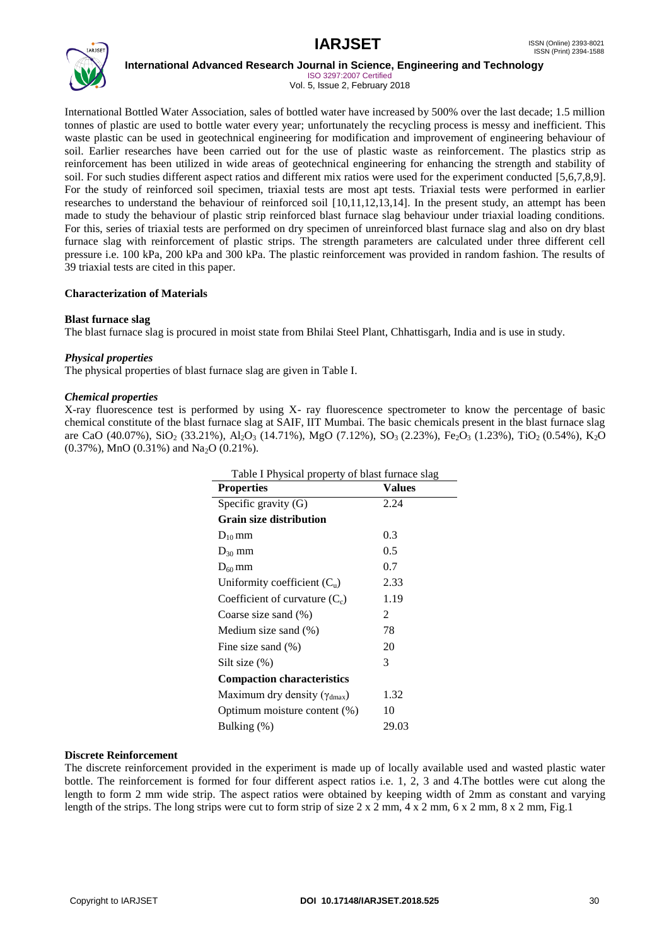

**International Advanced Research Journal in Science, Engineering and Technology**

ISO 3297:2007 Certified Vol. 5, Issue 2, February 2018

International Bottled Water Association, sales of bottled water have increased by 500% over the last decade; 1.5 million tonnes of plastic are used to bottle water every year; unfortunately the recycling process is messy and inefficient. This waste plastic can be used in geotechnical engineering for modification and improvement of engineering behaviour of soil. Earlier researches have been carried out for the use of plastic waste as reinforcement. The plastics strip as reinforcement has been utilized in wide areas of geotechnical engineering for enhancing the strength and stability of soil. For such studies different aspect ratios and different mix ratios were used for the experiment conducted [5,6,7,8,9]. For the study of reinforced soil specimen, triaxial tests are most apt tests. Triaxial tests were performed in earlier researches to understand the behaviour of reinforced soil [10,11,12,13,14]. In the present study, an attempt has been made to study the behaviour of plastic strip reinforced blast furnace slag behaviour under triaxial loading conditions. For this, series of triaxial tests are performed on dry specimen of unreinforced blast furnace slag and also on dry blast furnace slag with reinforcement of plastic strips. The strength parameters are calculated under three different cell pressure i.e. 100 kPa, 200 kPa and 300 kPa. The plastic reinforcement was provided in random fashion. The results of 39 triaxial tests are cited in this paper.

#### **Characterization of Materials**

#### **Blast furnace slag**

The blast furnace slag is procured in moist state from Bhilai Steel Plant, Chhattisgarh, India and is use in study.

#### *Physical properties*

The physical properties of blast furnace slag are given in Table I.

#### *Chemical properties*

X-ray fluorescence test is performed by using X- ray fluorescence spectrometer to know the percentage of basic chemical constitute of the blast furnace slag at SAIF, IIT Mumbai. The basic chemicals present in the blast furnace slag are CaO (40.07%), SiO<sub>2</sub> (33.21%), Al<sub>2</sub>O<sub>3</sub> (14.71%), MgO (7.12%), SO<sub>3</sub> (2.23%), Fe<sub>2</sub>O<sub>3</sub> (1.23%), TiO<sub>2</sub> (0.54%), K<sub>2</sub>O  $(0.37\%)$ , MnO  $(0.31\%)$  and Na<sub>2</sub>O  $(0.21\%)$ .

| Table I Physical property of blast furnace slag |        |  |  |  |
|-------------------------------------------------|--------|--|--|--|
| <b>Properties</b>                               | Values |  |  |  |
| Specific gravity $(G)$                          | 2.24   |  |  |  |
| <b>Grain size distribution</b>                  |        |  |  |  |
| $D_{10}$ mm                                     | 0.3    |  |  |  |
| $D_{30}$ mm                                     | 0.5    |  |  |  |
| $D_{60}$ mm                                     | 0.7    |  |  |  |
| Uniformity coefficient $(C_n)$                  | 2.33   |  |  |  |
| Coefficient of curvature $(C_c)$                | 1.19   |  |  |  |
| Coarse size sand (%)                            | 2      |  |  |  |
| Medium size sand (%)                            | 78     |  |  |  |
| Fine size sand $(\% )$                          | 20     |  |  |  |
| Silt size (%)                                   | 3      |  |  |  |
| <b>Compaction characteristics</b>               |        |  |  |  |
| Maximum dry density ( $\gamma_{\text{dmax}}$ )  | 1.32   |  |  |  |
| Optimum moisture content (%)                    | 10     |  |  |  |
| Bulking (%)                                     | 29.03  |  |  |  |

#### **Discrete Reinforcement**

The discrete reinforcement provided in the experiment is made up of locally available used and wasted plastic water bottle. The reinforcement is formed for four different aspect ratios i.e. 1, 2, 3 and 4.The bottles were cut along the length to form 2 mm wide strip. The aspect ratios were obtained by keeping width of 2mm as constant and varying length of the strips. The long strips were cut to form strip of size  $2 \times 2$  mm,  $4 \times 2$  mm,  $6 \times 2$  mm,  $8 \times 2$  mm, Fig.1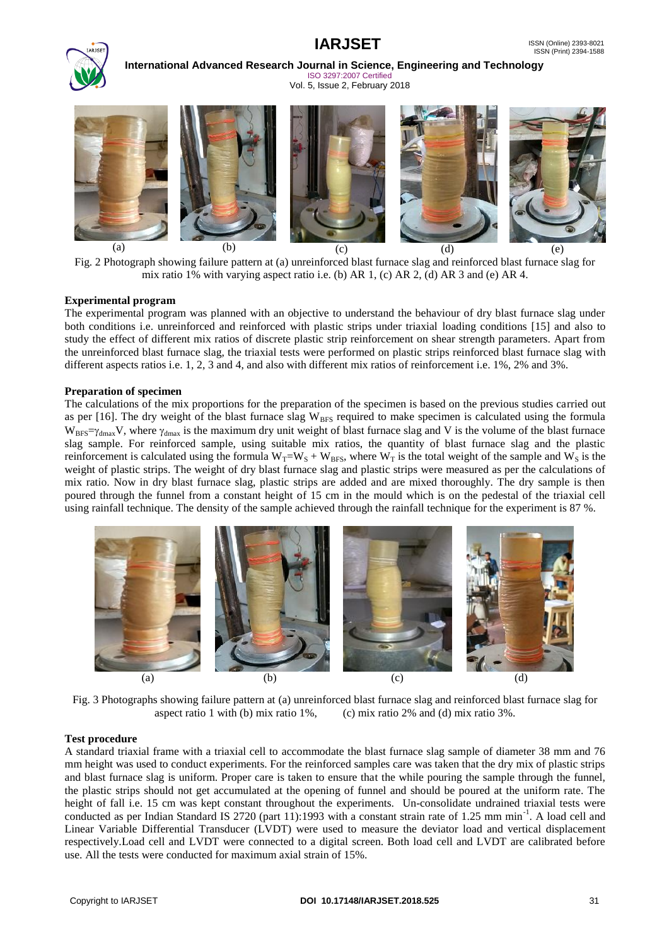# **IARJSET** ISSN (Online) 2393-8021



**International Advanced Research Journal in Science, Engineering and Technology** ISO 3297:2007 Certified

Vol. 5, Issue 2, February 2018



Fig. 2 Photograph showing failure pattern at (a) unreinforced blast furnace slag and reinforced blast furnace slag for mix ratio 1% with varying aspect ratio i.e. (b) AR 1, (c) AR 2, (d) AR 3 and (e) AR 4.

#### **Experimental program**

The experimental program was planned with an objective to understand the behaviour of dry blast furnace slag under both conditions i.e. unreinforced and reinforced with plastic strips under triaxial loading conditions [15] and also to study the effect of different mix ratios of discrete plastic strip reinforcement on shear strength parameters. Apart from the unreinforced blast furnace slag, the triaxial tests were performed on plastic strips reinforced blast furnace slag with different aspects ratios i.e. 1, 2, 3 and 4, and also with different mix ratios of reinforcement i.e. 1%, 2% and 3%.

#### **Preparation of specimen**

The calculations of the mix proportions for the preparation of the specimen is based on the previous studies carried out as per  $[16]$ . The dry weight of the blast furnace slag W<sub>BFS</sub> required to make specimen is calculated using the formula  $W_{BFS} = \gamma_{dmax}V$ , where  $\gamma_{dmax}$  is the maximum dry unit weight of blast furnace slag and V is the volume of the blast furnace slag sample. For reinforced sample, using suitable mix ratios, the quantity of blast furnace slag and the plastic reinforcement is calculated using the formula  $W_T = W_S + W_{BFS}$ , where  $W_T$  is the total weight of the sample and  $W_S$  is the weight of plastic strips. The weight of dry blast furnace slag and plastic strips were measured as per the calculations of mix ratio. Now in dry blast furnace slag, plastic strips are added and are mixed thoroughly. The dry sample is then poured through the funnel from a constant height of 15 cm in the mould which is on the pedestal of the triaxial cell using rainfall technique. The density of the sample achieved through the rainfall technique for the experiment is 87 %.



Fig. 3 Photographs showing failure pattern at (a) unreinforced blast furnace slag and reinforced blast furnace slag for aspect ratio 1 with (b) mix ratio 1%, (c) mix ratio 2% and (d) mix ratio 3%.

#### **Test procedure**

A standard triaxial frame with a triaxial cell to accommodate the blast furnace slag sample of diameter 38 mm and 76 mm height was used to conduct experiments. For the reinforced samples care was taken that the dry mix of plastic strips and blast furnace slag is uniform. Proper care is taken to ensure that the while pouring the sample through the funnel, the plastic strips should not get accumulated at the opening of funnel and should be poured at the uniform rate. The height of fall i.e. 15 cm was kept constant throughout the experiments. Un-consolidate undrained triaxial tests were conducted as per Indian Standard IS 2720 (part 11):1993 with a constant strain rate of 1.25 mm min<sup>-1</sup>. A load cell and Linear Variable Differential Transducer (LVDT) were used to measure the deviator load and vertical displacement respectively.Load cell and LVDT were connected to a digital screen. Both load cell and LVDT are calibrated before use. All the tests were conducted for maximum axial strain of 15%.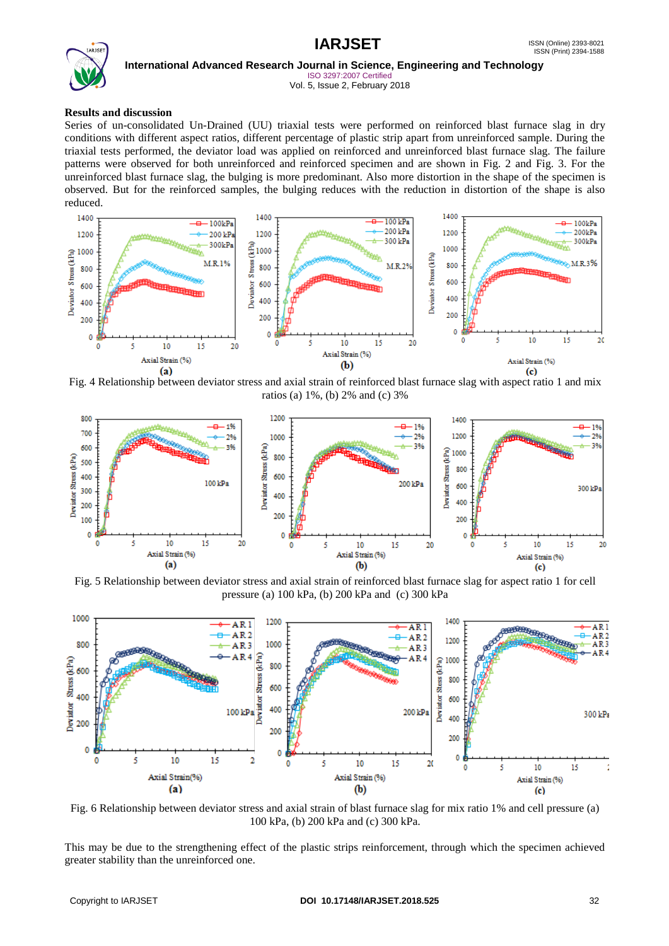

**International Advanced Research Journal in Science, Engineering and Technology**

ISO 3297:2007 Certified Vol. 5, Issue 2, February 2018

#### **Results and discussion**

Series of un-consolidated Un-Drained (UU) triaxial tests were performed on reinforced blast furnace slag in dry conditions with different aspect ratios, different percentage of plastic strip apart from unreinforced sample. During the triaxial tests performed, the deviator load was applied on reinforced and unreinforced blast furnace slag. The failure patterns were observed for both unreinforced and reinforced specimen and are shown in Fig. 2 and Fig. 3. For the unreinforced blast furnace slag, the bulging is more predominant. Also more distortion in the shape of the specimen is observed. But for the reinforced samples, the bulging reduces with the reduction in distortion of the shape is also reduced.



Fig. 4 Relationship between deviator stress and axial strain of reinforced blast furnace slag with aspect ratio 1 and mix ratios (a) 1%, (b) 2% and (c) 3%



Fig. 5 Relationship between deviator stress and axial strain of reinforced blast furnace slag for aspect ratio 1 for cell pressure (a) 100 kPa, (b) 200 kPa and (c) 300 kPa



Fig. 6 Relationship between deviator stress and axial strain of blast furnace slag for mix ratio 1% and cell pressure (a) 100 kPa, (b) 200 kPa and (c) 300 kPa.

This may be due to the strengthening effect of the plastic strips reinforcement, through which the specimen achieved greater stability than the unreinforced one.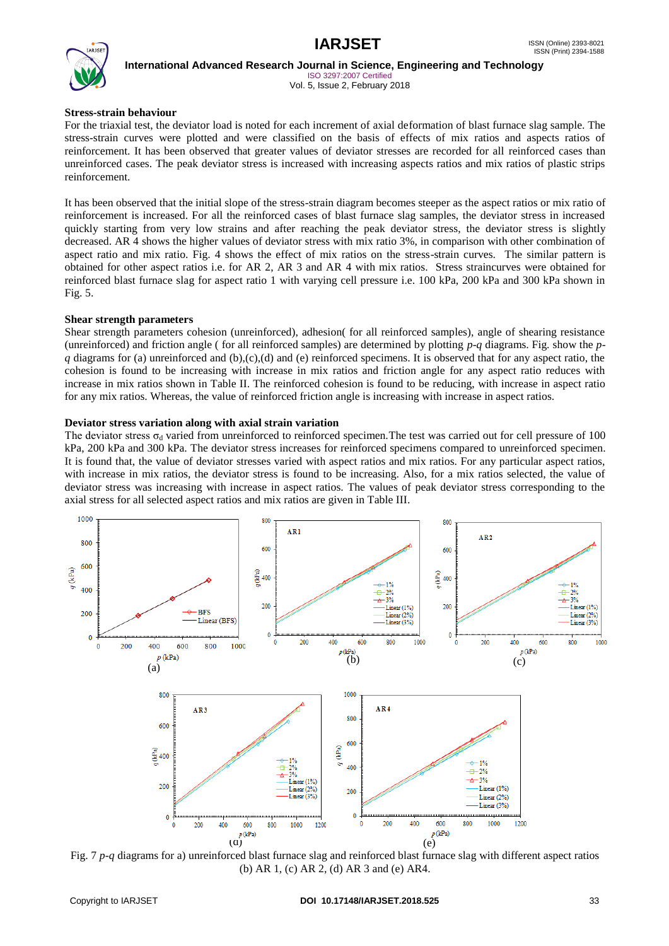

**International Advanced Research Journal in Science, Engineering and Technology** ISO 3297:2007 Certified

Vol. 5, Issue 2, February 2018

#### **Stress-strain behaviour**

For the triaxial test, the deviator load is noted for each increment of axial deformation of blast furnace slag sample. The stress-strain curves were plotted and were classified on the basis of effects of mix ratios and aspects ratios of reinforcement. It has been observed that greater values of deviator stresses are recorded for all reinforced cases than unreinforced cases. The peak deviator stress is increased with increasing aspects ratios and mix ratios of plastic strips reinforcement.

It has been observed that the initial slope of the stress-strain diagram becomes steeper as the aspect ratios or mix ratio of reinforcement is increased. For all the reinforced cases of blast furnace slag samples, the deviator stress in increased quickly starting from very low strains and after reaching the peak deviator stress, the deviator stress is slightly decreased. AR 4 shows the higher values of deviator stress with mix ratio 3%, in comparison with other combination of aspect ratio and mix ratio. Fig. 4 shows the effect of mix ratios on the stress-strain curves. The similar pattern is obtained for other aspect ratios i.e. for AR 2, AR 3 and AR 4 with mix ratios. Stress straincurves were obtained for reinforced blast furnace slag for aspect ratio 1 with varying cell pressure i.e. 100 kPa, 200 kPa and 300 kPa shown in Fig. 5.

### **Shear strength parameters**

Shear strength parameters cohesion (unreinforced), adhesion( for all reinforced samples), angle of shearing resistance (unreinforced) and friction angle ( for all reinforced samples) are determined by plotting *p-q* diagrams. Fig. show the *p* $q$  diagrams for (a) unreinforced and (b),(c),(d) and (e) reinforced specimens. It is observed that for any aspect ratio, the cohesion is found to be increasing with increase in mix ratios and friction angle for any aspect ratio reduces with increase in mix ratios shown in Table II. The reinforced cohesion is found to be reducing, with increase in aspect ratio for any mix ratios. Whereas, the value of reinforced friction angle is increasing with increase in aspect ratios.

#### **Deviator stress variation along with axial strain variation**

The deviator stress  $\sigma_d$  varied from unreinforced to reinforced specimen. The test was carried out for cell pressure of 100 kPa, 200 kPa and 300 kPa. The deviator stress increases for reinforced specimens compared to unreinforced specimen. It is found that, the value of deviator stresses varied with aspect ratios and mix ratios. For any particular aspect ratios, with increase in mix ratios, the deviator stress is found to be increasing. Also, for a mix ratios selected, the value of deviator stress was increasing with increase in aspect ratios. The values of peak deviator stress corresponding to the axial stress for all selected aspect ratios and mix ratios are given in Table III.



Fig. 7 *p-q* diagrams for a) unreinforced blast furnace slag and reinforced blast furnace slag with different aspect ratios (b) AR 1, (c) AR 2, (d) AR 3 and (e) AR4.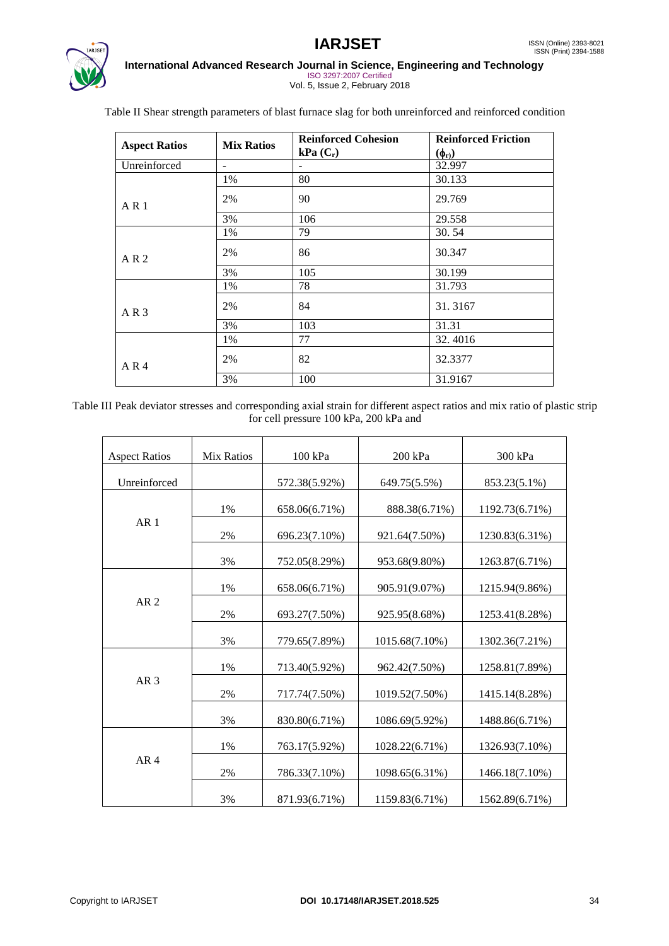

## **IARJSET** ISSN (Online) 2393-8021 **International Advanced Research Journal in Science, Engineering and Technology**

ISO 3297:2007 Certified Vol. 5, Issue 2, February 2018

|                      | <b>Mix Ratios</b> | <b>Reinforced Cohesion</b> | <b>Reinforced Friction</b><br>$(\phi_r)$ |  |
|----------------------|-------------------|----------------------------|------------------------------------------|--|
| <b>Aspect Ratios</b> |                   | $kPa(C_r)$                 |                                          |  |
| Unreinforced         |                   |                            | 32.997                                   |  |
|                      | 1%                | 80                         | 30.133                                   |  |
| AR <sub>1</sub>      | 2%                | 90                         | 29.769                                   |  |
|                      | 3%                | 106                        | 29.558                                   |  |
|                      | 1%                | 79                         | 30.54                                    |  |
| AR <sub>2</sub>      | 2%                | 86                         | 30.347                                   |  |
|                      | 3%                | 105                        | 30.199                                   |  |
|                      | 1%                | 78                         | 31.793                                   |  |
| AR <sub>3</sub>      | 2%                | 84                         | 31.3167                                  |  |
|                      | 3%                | 103                        | 31.31                                    |  |
|                      | 1%                | 77                         | 32.4016                                  |  |
| AR <sub>4</sub>      | 2%                | 82                         | 32.3377                                  |  |
|                      | 3%                | 100                        | 31.9167                                  |  |

Table II Shear strength parameters of blast furnace slag for both unreinforced and reinforced condition

Table III Peak deviator stresses and corresponding axial strain for different aspect ratios and mix ratio of plastic strip for cell pressure 100 kPa, 200 kPa and

| <b>Aspect Ratios</b> | <b>Mix Ratios</b> | 100 kPa       | 200 kPa        | 300 kPa        |
|----------------------|-------------------|---------------|----------------|----------------|
| Unreinforced         |                   | 572.38(5.92%) | 649.75(5.5%)   | 853.23(5.1%)   |
|                      |                   |               |                |                |
| AR <sub>1</sub>      | 1%                | 658.06(6.71%) | 888.38(6.71%)  | 1192.73(6.71%) |
|                      | 2%                | 696.23(7.10%) | 921.64(7.50%)  | 1230.83(6.31%) |
|                      | 3%                | 752.05(8.29%) | 953.68(9.80%)  | 1263.87(6.71%) |
| AR <sub>2</sub>      | 1%                | 658.06(6.71%) | 905.91(9.07%)  | 1215.94(9.86%) |
|                      | 2%                | 693.27(7.50%) | 925.95(8.68%)  | 1253.41(8.28%) |
|                      | 3%                | 779.65(7.89%) | 1015.68(7.10%) | 1302.36(7.21%) |
| AR <sub>3</sub>      | 1%                | 713.40(5.92%) | 962.42(7.50%)  | 1258.81(7.89%) |
|                      | 2%                | 717.74(7.50%) | 1019.52(7.50%) | 1415.14(8.28%) |
|                      | 3%                | 830.80(6.71%) | 1086.69(5.92%) | 1488.86(6.71%) |
| AR <sub>4</sub>      | 1%                | 763.17(5.92%) | 1028.22(6.71%) | 1326.93(7.10%) |
|                      | 2%                | 786.33(7.10%) | 1098.65(6.31%) | 1466.18(7.10%) |
|                      | 3%                | 871.93(6.71%) | 1159.83(6.71%) | 1562.89(6.71%) |